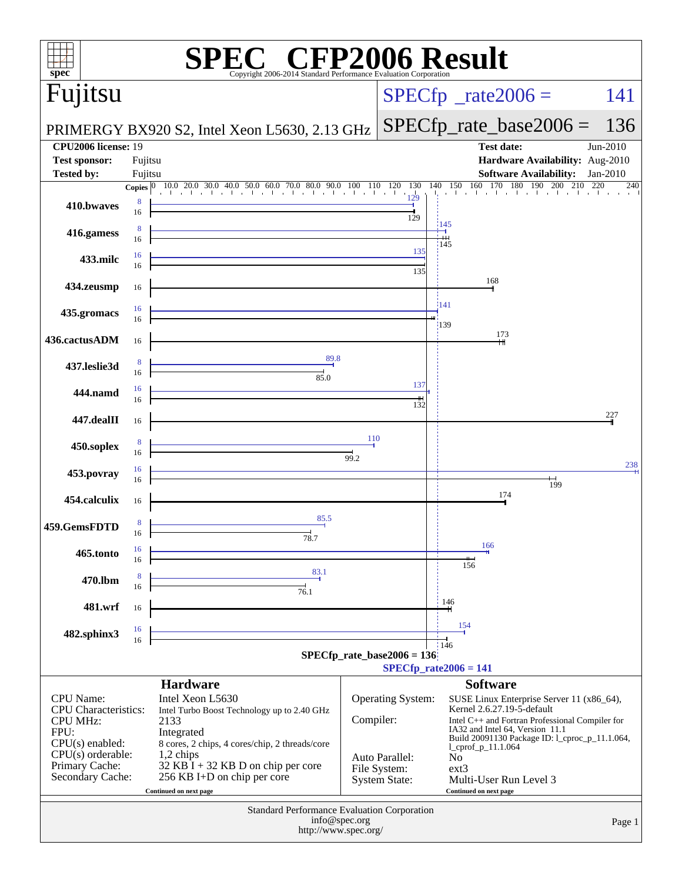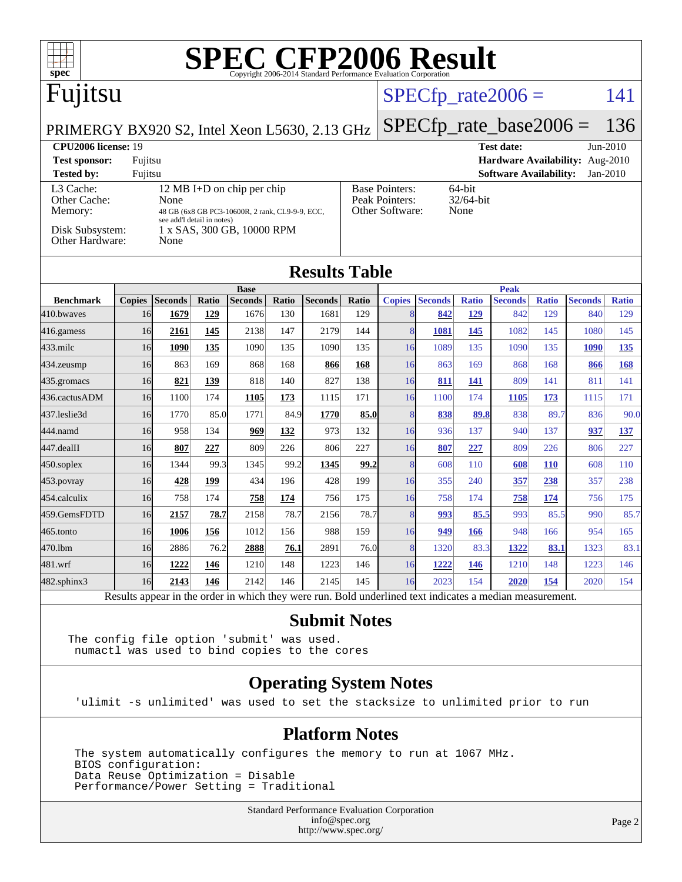| $s\overline{\text{pec}}$                                                                                 |                                                                         |                        |              | <b>SPEC CFP2006 Result</b>                                     |              |                        |                         |                    |                       |                     |                               |                     |                       |                     |
|----------------------------------------------------------------------------------------------------------|-------------------------------------------------------------------------|------------------------|--------------|----------------------------------------------------------------|--------------|------------------------|-------------------------|--------------------|-----------------------|---------------------|-------------------------------|---------------------|-----------------------|---------------------|
| Fujitsu                                                                                                  |                                                                         |                        |              |                                                                |              |                        |                         |                    |                       |                     | $SPECfp\_rate2006 =$          |                     |                       | 141                 |
| PRIMERGY BX920 S2, Intel Xeon L5630, 2.13 GHz                                                            |                                                                         |                        |              |                                                                |              |                        |                         |                    |                       |                     | $SPECfp_rate\_base2006 =$     |                     |                       | 136                 |
| <b>CPU2006 license: 19</b>                                                                               |                                                                         |                        |              |                                                                |              |                        |                         |                    |                       |                     | <b>Test date:</b>             |                     |                       | $Jun-2010$          |
| Hardware Availability: Aug-2010<br><b>Test sponsor:</b><br>Fujitsu                                       |                                                                         |                        |              |                                                                |              |                        |                         |                    |                       |                     |                               |                     |                       |                     |
| <b>Tested by:</b>                                                                                        | Fujitsu                                                                 |                        |              |                                                                |              |                        |                         |                    |                       |                     | <b>Software Availability:</b> |                     |                       | $Jan-2010$          |
| L3 Cache:<br>12 MB I+D on chip per chip                                                                  |                                                                         |                        |              | <b>Base Pointers:</b><br>64-bit<br>Peak Pointers:<br>32/64-bit |              |                        |                         |                    |                       |                     |                               |                     |                       |                     |
| Memory:                                                                                                  | Other Cache:<br>None<br>48 GB (6x8 GB PC3-10600R, 2 rank, CL9-9-9, ECC, |                        |              |                                                                |              |                        | Other Software:<br>None |                    |                       |                     |                               |                     |                       |                     |
| see add'l detail in notes)<br>Disk Subsystem:<br>1 x SAS, 300 GB, 10000 RPM<br>Other Hardware:<br>None   |                                                                         |                        |              |                                                                |              |                        |                         |                    |                       |                     |                               |                     |                       |                     |
| <b>Results Table</b>                                                                                     |                                                                         |                        |              |                                                                |              |                        |                         |                    |                       |                     |                               |                     |                       |                     |
|                                                                                                          |                                                                         |                        |              | <b>Base</b>                                                    |              |                        |                         |                    |                       |                     | <b>Peak</b>                   |                     |                       |                     |
| <b>Benchmark</b><br>410.bwaves                                                                           | 16                                                                      | Copies Seconds<br>1679 | Ratio<br>129 | <b>Seconds</b><br>1676                                         | Ratio<br>130 | <b>Seconds</b><br>1681 | <b>Ratio</b><br>129     | <b>Copies</b><br>8 | <b>Seconds</b><br>842 | <b>Ratio</b><br>129 | <b>Seconds</b><br>842         | <b>Ratio</b><br>129 | <b>Seconds</b><br>840 | <b>Ratio</b><br>129 |
|                                                                                                          |                                                                         |                        |              |                                                                | 147          |                        |                         | 8                  |                       |                     | 1082                          |                     |                       |                     |
| 416.gamess                                                                                               | 16                                                                      | 2161                   | 145          | 2138                                                           |              | 2179                   | 144                     |                    | 1081                  | 145                 |                               | 145                 | 1080                  | 145                 |
| 433.milc                                                                                                 | 16                                                                      | 1090                   | 135          | 1090                                                           | 135          | 1090                   | 135                     | 16                 | 1089                  | 135                 | 1090                          | 135                 | 1090                  | <u>135</u>          |
| $434$ . zeusmp                                                                                           | 16                                                                      | 863                    | 169          | 868                                                            | 168          | 866                    | 168                     | 16                 | 863                   | 169                 | 868                           | 168                 | 866                   | <b>168</b>          |
| 435.gromacs                                                                                              | 16                                                                      | 821                    | 139          | 818                                                            | 140          | 827                    | 138                     | 16                 | 811                   | 141                 | 809                           | 141                 | 811                   | 141                 |
| 436.cactusADM                                                                                            | 16                                                                      | 1100                   | 174          | 1105                                                           | 173          | 1115                   | 171                     | 16                 | 1100                  | 174                 | 1105                          | 173                 | 1115                  | 171                 |
| 437.leslie3d                                                                                             | 16                                                                      | 1770                   | 85.0         | 1771                                                           | 84.9         | 1770                   | 85.0                    | 8                  | 838                   | 89.8                | 838                           | 89.7                | 836                   | 90.0                |
| 444.namd                                                                                                 | 16                                                                      | 958                    | 134          | 969                                                            | 132          | 973                    | 132                     | 16                 | 936                   | 137                 | 940                           | 137                 | 937                   | 137                 |
| 447.dealII                                                                                               | 16                                                                      | 807                    | 227          | 809                                                            | 226          | 806                    | 227                     | 16                 | 807                   | 227                 | 809                           | 226                 | 806                   | 227                 |
| 450.soplex                                                                                               | 16                                                                      | 1344                   | 99.3         | 1345                                                           | 99.2         | 1345                   | <u>99.2</u>             | 8                  | 608                   | 110                 | 608                           | <b>110</b>          | 608                   | 110                 |
| 453.povray                                                                                               | 16                                                                      | 428                    | 199          | 434                                                            | 196          | 428                    | 199                     | 16                 | 355                   | 240                 | 357                           | 238                 | 357                   | 238                 |
| 454.calculix                                                                                             | 16                                                                      | 758                    | 174          | 758                                                            | 174          | 756                    | 175                     | 16                 | 758                   | 174                 | 758                           | 174                 | 756                   | 175                 |
| 459.GemsFDTD                                                                                             | 16                                                                      | 2157                   | 78.7         | 2158                                                           | 78.7         | 2156                   | 78.7                    | 8                  | 993                   | 85.5                | 993                           | 85.5                | 990                   | 85.7                |
| 465.tonto                                                                                                | 16                                                                      | 1006                   | 156          | 1012                                                           | 156          | 988                    | 159                     | 16                 | 949                   | 166                 | 948                           | 166                 | 954                   | 165                 |
| 470.1bm                                                                                                  | 16                                                                      | 2886                   | 76.2         | 2888                                                           | 76.1         | 2891                   | 76.0                    | 8                  | 1320                  | 83.3                | 1322                          | 83.1                | 1323                  | 83.1                |
| 481.wrf                                                                                                  | 16                                                                      | 1222                   | 146          | 1210                                                           | 148          | 1223                   | 146                     | 16                 | 1222                  | 146                 | 1210                          | 148                 | 1223                  | 146                 |
| 482.sphinx3                                                                                              | 16                                                                      | 2143                   | 146          | 2142                                                           | 146          | 2145                   | 145                     | 16                 | 2023                  | 154                 | 2020                          | 154                 | 2020                  | 154                 |
| Results appear in the order in which they were run. Bold underlined text indicates a median measurement. |                                                                         |                        |              |                                                                |              |                        |                         |                    |                       |                     |                               |                     |                       |                     |

**[Submit Notes](http://www.spec.org/auto/cpu2006/Docs/result-fields.html#SubmitNotes)**

The config file option 'submit' was used. numactl was used to bind copies to the cores

#### **[Operating System Notes](http://www.spec.org/auto/cpu2006/Docs/result-fields.html#OperatingSystemNotes)**

'ulimit -s unlimited' was used to set the stacksize to unlimited prior to run

#### **[Platform Notes](http://www.spec.org/auto/cpu2006/Docs/result-fields.html#PlatformNotes)**

 The system automatically configures the memory to run at 1067 MHz. BIOS configuration: Data Reuse Optimization = Disable Performance/Power Setting = Traditional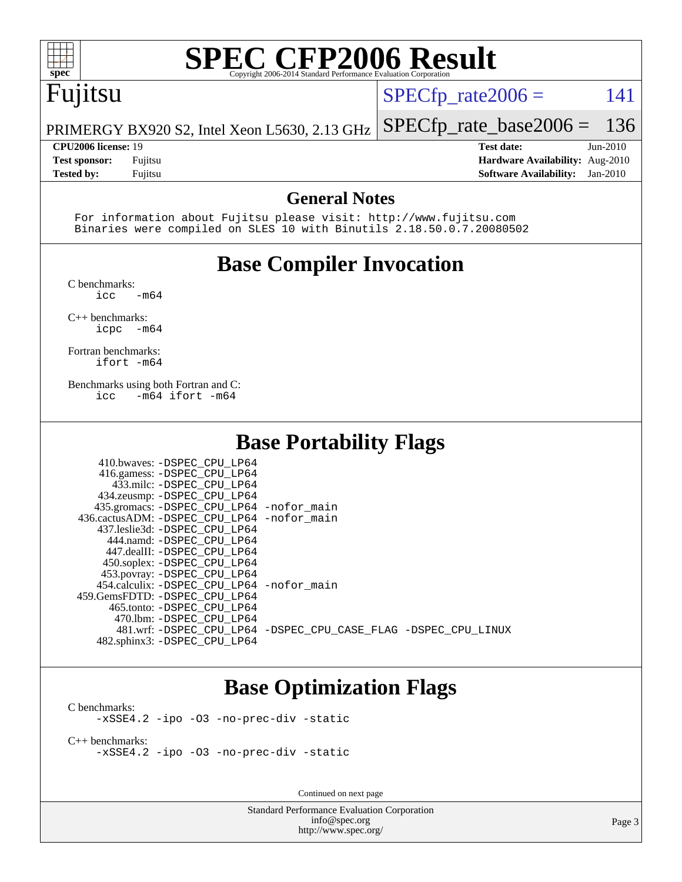

## Fujitsu

 $SPECTp_rate2006 = 141$ 

PRIMERGY BX920 S2, Intel Xeon L5630, 2.13 GHz [SPECfp\\_rate\\_base2006 =](http://www.spec.org/auto/cpu2006/Docs/result-fields.html#SPECfpratebase2006) 136

**[CPU2006 license:](http://www.spec.org/auto/cpu2006/Docs/result-fields.html#CPU2006license)** 19 **[Test date:](http://www.spec.org/auto/cpu2006/Docs/result-fields.html#Testdate)** Jun-2010 **[Test sponsor:](http://www.spec.org/auto/cpu2006/Docs/result-fields.html#Testsponsor)** Fujitsu **[Hardware Availability:](http://www.spec.org/auto/cpu2006/Docs/result-fields.html#HardwareAvailability)** Aug-2010 **[Tested by:](http://www.spec.org/auto/cpu2006/Docs/result-fields.html#Testedby)** Fujitsu **[Software Availability:](http://www.spec.org/auto/cpu2006/Docs/result-fields.html#SoftwareAvailability)** Jan-2010

#### **[General Notes](http://www.spec.org/auto/cpu2006/Docs/result-fields.html#GeneralNotes)**

 For information about Fujitsu please visit: <http://www.fujitsu.com> Binaries were compiled on SLES 10 with Binutils 2.18.50.0.7.20080502

### **[Base Compiler Invocation](http://www.spec.org/auto/cpu2006/Docs/result-fields.html#BaseCompilerInvocation)**

[C benchmarks](http://www.spec.org/auto/cpu2006/Docs/result-fields.html#Cbenchmarks):

 $\text{icc}$   $-\text{m64}$ 

[C++ benchmarks:](http://www.spec.org/auto/cpu2006/Docs/result-fields.html#CXXbenchmarks) [icpc -m64](http://www.spec.org/cpu2006/results/res2010q3/cpu2006-20100702-12078.flags.html#user_CXXbase_intel_icpc_64bit_bedb90c1146cab66620883ef4f41a67e)

[Fortran benchmarks](http://www.spec.org/auto/cpu2006/Docs/result-fields.html#Fortranbenchmarks): [ifort -m64](http://www.spec.org/cpu2006/results/res2010q3/cpu2006-20100702-12078.flags.html#user_FCbase_intel_ifort_64bit_ee9d0fb25645d0210d97eb0527dcc06e)

[Benchmarks using both Fortran and C](http://www.spec.org/auto/cpu2006/Docs/result-fields.html#BenchmarksusingbothFortranandC): [icc -m64](http://www.spec.org/cpu2006/results/res2010q3/cpu2006-20100702-12078.flags.html#user_CC_FCbase_intel_icc_64bit_0b7121f5ab7cfabee23d88897260401c) [ifort -m64](http://www.spec.org/cpu2006/results/res2010q3/cpu2006-20100702-12078.flags.html#user_CC_FCbase_intel_ifort_64bit_ee9d0fb25645d0210d97eb0527dcc06e)

#### **[Base Portability Flags](http://www.spec.org/auto/cpu2006/Docs/result-fields.html#BasePortabilityFlags)**

| 410.bwaves: -DSPEC CPU LP64                 |                                                                |
|---------------------------------------------|----------------------------------------------------------------|
| 416.gamess: -DSPEC_CPU_LP64                 |                                                                |
| 433.milc: -DSPEC CPU LP64                   |                                                                |
| 434.zeusmp: -DSPEC_CPU_LP64                 |                                                                |
| 435.gromacs: -DSPEC_CPU_LP64 -nofor_main    |                                                                |
| 436.cactusADM: -DSPEC_CPU_LP64 -nofor main  |                                                                |
| 437.leslie3d: -DSPEC CPU LP64               |                                                                |
| 444.namd: -DSPEC CPU LP64                   |                                                                |
| 447.dealII: -DSPEC_CPU LP64                 |                                                                |
| 450.soplex: -DSPEC CPU LP64                 |                                                                |
| 453.povray: -DSPEC_CPU_LP64                 |                                                                |
| 454.calculix: - DSPEC CPU LP64 - nofor main |                                                                |
| 459. GemsFDTD: - DSPEC CPU LP64             |                                                                |
| 465.tonto: - DSPEC CPU LP64                 |                                                                |
| 470.1bm: - DSPEC CPU LP64                   |                                                                |
|                                             | 481.wrf: -DSPEC CPU_LP64 -DSPEC_CPU_CASE_FLAG -DSPEC_CPU_LINUX |
| 482.sphinx3: -DSPEC_CPU_LP64                |                                                                |

#### **[Base Optimization Flags](http://www.spec.org/auto/cpu2006/Docs/result-fields.html#BaseOptimizationFlags)**

[C benchmarks](http://www.spec.org/auto/cpu2006/Docs/result-fields.html#Cbenchmarks): [-xSSE4.2](http://www.spec.org/cpu2006/results/res2010q3/cpu2006-20100702-12078.flags.html#user_CCbase_f-xSSE42_f91528193cf0b216347adb8b939d4107) [-ipo](http://www.spec.org/cpu2006/results/res2010q3/cpu2006-20100702-12078.flags.html#user_CCbase_f-ipo) [-O3](http://www.spec.org/cpu2006/results/res2010q3/cpu2006-20100702-12078.flags.html#user_CCbase_f-O3) [-no-prec-div](http://www.spec.org/cpu2006/results/res2010q3/cpu2006-20100702-12078.flags.html#user_CCbase_f-no-prec-div) [-static](http://www.spec.org/cpu2006/results/res2010q3/cpu2006-20100702-12078.flags.html#user_CCbase_f-static)

[C++ benchmarks:](http://www.spec.org/auto/cpu2006/Docs/result-fields.html#CXXbenchmarks) [-xSSE4.2](http://www.spec.org/cpu2006/results/res2010q3/cpu2006-20100702-12078.flags.html#user_CXXbase_f-xSSE42_f91528193cf0b216347adb8b939d4107) [-ipo](http://www.spec.org/cpu2006/results/res2010q3/cpu2006-20100702-12078.flags.html#user_CXXbase_f-ipo) [-O3](http://www.spec.org/cpu2006/results/res2010q3/cpu2006-20100702-12078.flags.html#user_CXXbase_f-O3) [-no-prec-div](http://www.spec.org/cpu2006/results/res2010q3/cpu2006-20100702-12078.flags.html#user_CXXbase_f-no-prec-div) [-static](http://www.spec.org/cpu2006/results/res2010q3/cpu2006-20100702-12078.flags.html#user_CXXbase_f-static)

Continued on next page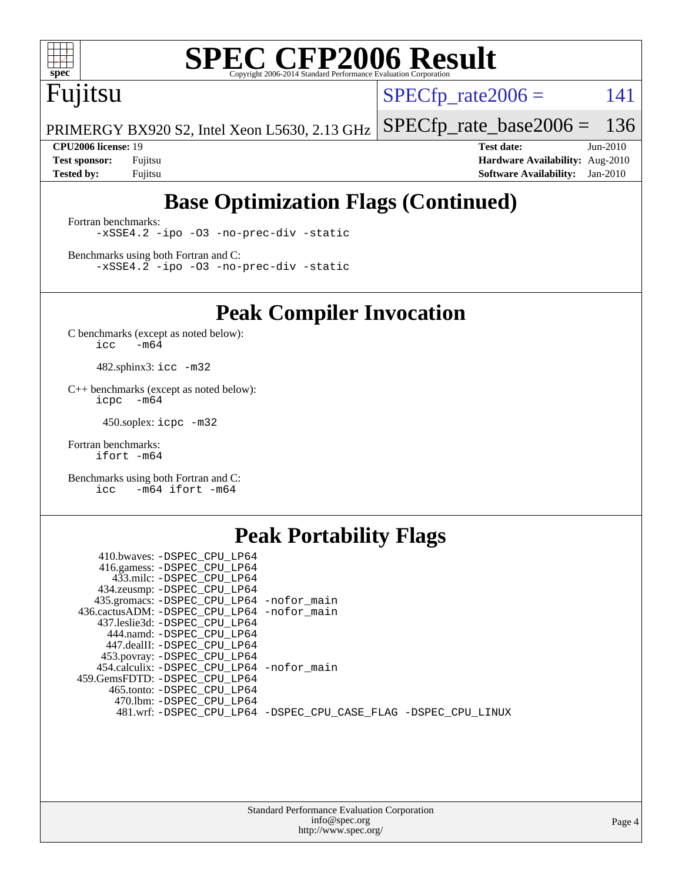

## Fujitsu

 $SPECTp_rate2006 = 141$ 

PRIMERGY BX920 S2, Intel Xeon L5630, 2.13 GHz [SPECfp\\_rate\\_base2006 =](http://www.spec.org/auto/cpu2006/Docs/result-fields.html#SPECfpratebase2006) 136

**[CPU2006 license:](http://www.spec.org/auto/cpu2006/Docs/result-fields.html#CPU2006license)** 19 **[Test date:](http://www.spec.org/auto/cpu2006/Docs/result-fields.html#Testdate)** Jun-2010 **[Test sponsor:](http://www.spec.org/auto/cpu2006/Docs/result-fields.html#Testsponsor)** Fujitsu **[Hardware Availability:](http://www.spec.org/auto/cpu2006/Docs/result-fields.html#HardwareAvailability)** Aug-2010 **[Tested by:](http://www.spec.org/auto/cpu2006/Docs/result-fields.html#Testedby)** Fujitsu **[Software Availability:](http://www.spec.org/auto/cpu2006/Docs/result-fields.html#SoftwareAvailability)** Jan-2010

## **[Base Optimization Flags \(Continued\)](http://www.spec.org/auto/cpu2006/Docs/result-fields.html#BaseOptimizationFlags)**

[Fortran benchmarks](http://www.spec.org/auto/cpu2006/Docs/result-fields.html#Fortranbenchmarks): [-xSSE4.2](http://www.spec.org/cpu2006/results/res2010q3/cpu2006-20100702-12078.flags.html#user_FCbase_f-xSSE42_f91528193cf0b216347adb8b939d4107) [-ipo](http://www.spec.org/cpu2006/results/res2010q3/cpu2006-20100702-12078.flags.html#user_FCbase_f-ipo) [-O3](http://www.spec.org/cpu2006/results/res2010q3/cpu2006-20100702-12078.flags.html#user_FCbase_f-O3) [-no-prec-div](http://www.spec.org/cpu2006/results/res2010q3/cpu2006-20100702-12078.flags.html#user_FCbase_f-no-prec-div) [-static](http://www.spec.org/cpu2006/results/res2010q3/cpu2006-20100702-12078.flags.html#user_FCbase_f-static)

[Benchmarks using both Fortran and C](http://www.spec.org/auto/cpu2006/Docs/result-fields.html#BenchmarksusingbothFortranandC): [-xSSE4.2](http://www.spec.org/cpu2006/results/res2010q3/cpu2006-20100702-12078.flags.html#user_CC_FCbase_f-xSSE42_f91528193cf0b216347adb8b939d4107) [-ipo](http://www.spec.org/cpu2006/results/res2010q3/cpu2006-20100702-12078.flags.html#user_CC_FCbase_f-ipo) [-O3](http://www.spec.org/cpu2006/results/res2010q3/cpu2006-20100702-12078.flags.html#user_CC_FCbase_f-O3) [-no-prec-div](http://www.spec.org/cpu2006/results/res2010q3/cpu2006-20100702-12078.flags.html#user_CC_FCbase_f-no-prec-div) [-static](http://www.spec.org/cpu2006/results/res2010q3/cpu2006-20100702-12078.flags.html#user_CC_FCbase_f-static)

**[Peak Compiler Invocation](http://www.spec.org/auto/cpu2006/Docs/result-fields.html#PeakCompilerInvocation)**

[C benchmarks \(except as noted below\)](http://www.spec.org/auto/cpu2006/Docs/result-fields.html#Cbenchmarksexceptasnotedbelow):  $\text{icc}$  -m64

482.sphinx3: [icc -m32](http://www.spec.org/cpu2006/results/res2010q3/cpu2006-20100702-12078.flags.html#user_peakCCLD482_sphinx3_intel_icc_32bit_a6a621f8d50482236b970c6ac5f55f93)

[C++ benchmarks \(except as noted below\):](http://www.spec.org/auto/cpu2006/Docs/result-fields.html#CXXbenchmarksexceptasnotedbelow) [icpc -m64](http://www.spec.org/cpu2006/results/res2010q3/cpu2006-20100702-12078.flags.html#user_CXXpeak_intel_icpc_64bit_bedb90c1146cab66620883ef4f41a67e)

450.soplex: [icpc -m32](http://www.spec.org/cpu2006/results/res2010q3/cpu2006-20100702-12078.flags.html#user_peakCXXLD450_soplex_intel_icpc_32bit_4e5a5ef1a53fd332b3c49e69c3330699)

[Fortran benchmarks](http://www.spec.org/auto/cpu2006/Docs/result-fields.html#Fortranbenchmarks): [ifort -m64](http://www.spec.org/cpu2006/results/res2010q3/cpu2006-20100702-12078.flags.html#user_FCpeak_intel_ifort_64bit_ee9d0fb25645d0210d97eb0527dcc06e)

[Benchmarks using both Fortran and C](http://www.spec.org/auto/cpu2006/Docs/result-fields.html#BenchmarksusingbothFortranandC): [icc -m64](http://www.spec.org/cpu2006/results/res2010q3/cpu2006-20100702-12078.flags.html#user_CC_FCpeak_intel_icc_64bit_0b7121f5ab7cfabee23d88897260401c) [ifort -m64](http://www.spec.org/cpu2006/results/res2010q3/cpu2006-20100702-12078.flags.html#user_CC_FCpeak_intel_ifort_64bit_ee9d0fb25645d0210d97eb0527dcc06e)

### **[Peak Portability Flags](http://www.spec.org/auto/cpu2006/Docs/result-fields.html#PeakPortabilityFlags)**

| 410.bwaves: -DSPEC CPU LP64                                    |  |
|----------------------------------------------------------------|--|
| 416.gamess: -DSPEC_CPU_LP64                                    |  |
| 433.milc: -DSPEC CPU LP64                                      |  |
| 434.zeusmp: -DSPEC_CPU_LP64                                    |  |
| 435.gromacs: -DSPEC_CPU_LP64 -nofor_main                       |  |
| 436.cactusADM: -DSPEC CPU LP64 -nofor main                     |  |
| 437.leslie3d: -DSPEC CPU LP64                                  |  |
| 444.namd: -DSPEC_CPU_LP64                                      |  |
| 447.dealII: -DSPEC CPU LP64                                    |  |
| 453.povray: -DSPEC_CPU_LP64                                    |  |
| 454.calculix: -DSPEC_CPU_LP64 -nofor_main                      |  |
| 459.GemsFDTD: -DSPEC CPU LP64                                  |  |
| 465.tonto: -DSPEC CPU LP64                                     |  |
| 470.1bm: - DSPEC CPU LP64                                      |  |
| 481.wrf: -DSPEC_CPU_LP64 -DSPEC_CPU_CASE_FLAG -DSPEC_CPU_LINUX |  |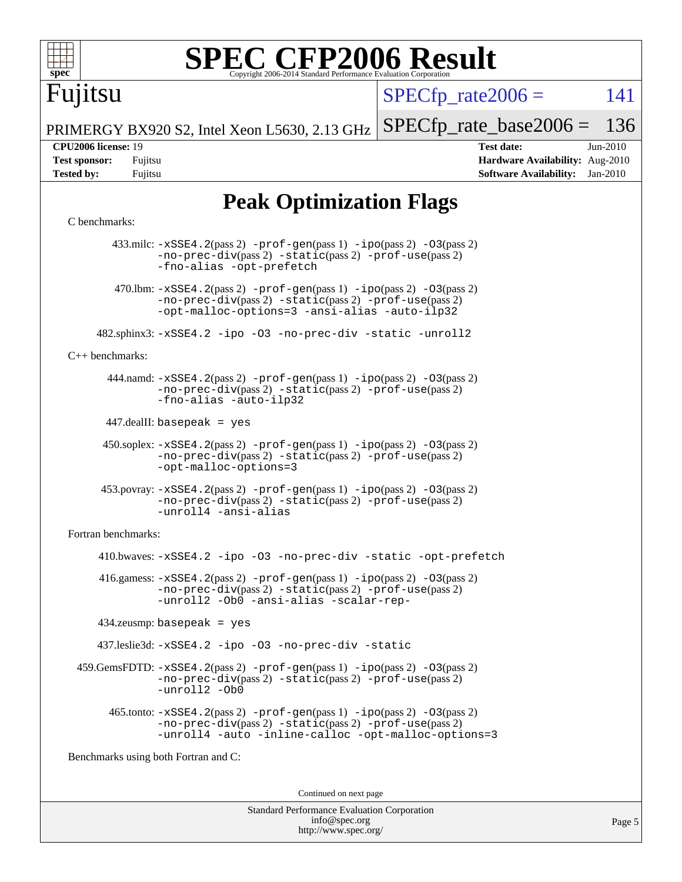

Fujitsu

 $SPECTp\_rate2006 = 141$ 

PRIMERGY BX920 S2, Intel Xeon L5630, 2.13 GHz [SPECfp\\_rate\\_base2006 =](http://www.spec.org/auto/cpu2006/Docs/result-fields.html#SPECfpratebase2006) 136

**[CPU2006 license:](http://www.spec.org/auto/cpu2006/Docs/result-fields.html#CPU2006license)** 19 **[Test date:](http://www.spec.org/auto/cpu2006/Docs/result-fields.html#Testdate)** Jun-2010 **[Test sponsor:](http://www.spec.org/auto/cpu2006/Docs/result-fields.html#Testsponsor)** Fujitsu **[Hardware Availability:](http://www.spec.org/auto/cpu2006/Docs/result-fields.html#HardwareAvailability)** Aug-2010 **[Tested by:](http://www.spec.org/auto/cpu2006/Docs/result-fields.html#Testedby)** Fujitsu **[Software Availability:](http://www.spec.org/auto/cpu2006/Docs/result-fields.html#SoftwareAvailability)** Jan-2010

## **[Peak Optimization Flags](http://www.spec.org/auto/cpu2006/Docs/result-fields.html#PeakOptimizationFlags)**

#### [C benchmarks](http://www.spec.org/auto/cpu2006/Docs/result-fields.html#Cbenchmarks):

 433.milc: [-xSSE4.2](http://www.spec.org/cpu2006/results/res2010q3/cpu2006-20100702-12078.flags.html#user_peakPASS2_CFLAGSPASS2_LDFLAGS433_milc_f-xSSE42_f91528193cf0b216347adb8b939d4107)(pass 2) [-prof-gen](http://www.spec.org/cpu2006/results/res2010q3/cpu2006-20100702-12078.flags.html#user_peakPASS1_CFLAGSPASS1_LDFLAGS433_milc_prof_gen_e43856698f6ca7b7e442dfd80e94a8fc)(pass 1) [-ipo](http://www.spec.org/cpu2006/results/res2010q3/cpu2006-20100702-12078.flags.html#user_peakPASS2_CFLAGSPASS2_LDFLAGS433_milc_f-ipo)(pass 2) [-O3](http://www.spec.org/cpu2006/results/res2010q3/cpu2006-20100702-12078.flags.html#user_peakPASS2_CFLAGSPASS2_LDFLAGS433_milc_f-O3)(pass 2) [-no-prec-div](http://www.spec.org/cpu2006/results/res2010q3/cpu2006-20100702-12078.flags.html#user_peakPASS2_CFLAGSPASS2_LDFLAGS433_milc_f-no-prec-div)(pass 2) [-static](http://www.spec.org/cpu2006/results/res2010q3/cpu2006-20100702-12078.flags.html#user_peakPASS2_CFLAGSPASS2_LDFLAGS433_milc_f-static)(pass 2) [-prof-use](http://www.spec.org/cpu2006/results/res2010q3/cpu2006-20100702-12078.flags.html#user_peakPASS2_CFLAGSPASS2_LDFLAGS433_milc_prof_use_bccf7792157ff70d64e32fe3e1250b55)(pass 2) [-fno-alias](http://www.spec.org/cpu2006/results/res2010q3/cpu2006-20100702-12078.flags.html#user_peakOPTIMIZE433_milc_f-no-alias_694e77f6c5a51e658e82ccff53a9e63a) [-opt-prefetch](http://www.spec.org/cpu2006/results/res2010q3/cpu2006-20100702-12078.flags.html#user_peakOPTIMIZE433_milc_f-opt-prefetch) 470.1bm:  $-xSSE4$ . 2(pass 2)  $-prof-gen(pass 1) -ipo(pass 2) -O3(pass 2)$  $-prof-gen(pass 1) -ipo(pass 2) -O3(pass 2)$  $-prof-gen(pass 1) -ipo(pass 2) -O3(pass 2)$  $-prof-gen(pass 1) -ipo(pass 2) -O3(pass 2)$  $-prof-gen(pass 1) -ipo(pass 2) -O3(pass 2)$  $-prof-gen(pass 1) -ipo(pass 2) -O3(pass 2)$ [-no-prec-div](http://www.spec.org/cpu2006/results/res2010q3/cpu2006-20100702-12078.flags.html#user_peakPASS2_CFLAGSPASS2_LDFLAGS470_lbm_f-no-prec-div)(pass 2) [-static](http://www.spec.org/cpu2006/results/res2010q3/cpu2006-20100702-12078.flags.html#user_peakPASS2_CFLAGSPASS2_LDFLAGS470_lbm_f-static)(pass 2) [-prof-use](http://www.spec.org/cpu2006/results/res2010q3/cpu2006-20100702-12078.flags.html#user_peakPASS2_CFLAGSPASS2_LDFLAGS470_lbm_prof_use_bccf7792157ff70d64e32fe3e1250b55)(pass 2) [-opt-malloc-options=3](http://www.spec.org/cpu2006/results/res2010q3/cpu2006-20100702-12078.flags.html#user_peakOPTIMIZE470_lbm_f-opt-malloc-options_13ab9b803cf986b4ee62f0a5998c2238) [-ansi-alias](http://www.spec.org/cpu2006/results/res2010q3/cpu2006-20100702-12078.flags.html#user_peakOPTIMIZE470_lbm_f-ansi-alias) [-auto-ilp32](http://www.spec.org/cpu2006/results/res2010q3/cpu2006-20100702-12078.flags.html#user_peakCOPTIMIZE470_lbm_f-auto-ilp32) 482.sphinx3: [-xSSE4.2](http://www.spec.org/cpu2006/results/res2010q3/cpu2006-20100702-12078.flags.html#user_peakOPTIMIZE482_sphinx3_f-xSSE42_f91528193cf0b216347adb8b939d4107) [-ipo](http://www.spec.org/cpu2006/results/res2010q3/cpu2006-20100702-12078.flags.html#user_peakOPTIMIZE482_sphinx3_f-ipo) [-O3](http://www.spec.org/cpu2006/results/res2010q3/cpu2006-20100702-12078.flags.html#user_peakOPTIMIZE482_sphinx3_f-O3) [-no-prec-div](http://www.spec.org/cpu2006/results/res2010q3/cpu2006-20100702-12078.flags.html#user_peakOPTIMIZE482_sphinx3_f-no-prec-div) [-static](http://www.spec.org/cpu2006/results/res2010q3/cpu2006-20100702-12078.flags.html#user_peakOPTIMIZE482_sphinx3_f-static) [-unroll2](http://www.spec.org/cpu2006/results/res2010q3/cpu2006-20100702-12078.flags.html#user_peakCOPTIMIZE482_sphinx3_f-unroll_784dae83bebfb236979b41d2422d7ec2) [C++ benchmarks:](http://www.spec.org/auto/cpu2006/Docs/result-fields.html#CXXbenchmarks) 444.namd: [-xSSE4.2](http://www.spec.org/cpu2006/results/res2010q3/cpu2006-20100702-12078.flags.html#user_peakPASS2_CXXFLAGSPASS2_LDFLAGS444_namd_f-xSSE42_f91528193cf0b216347adb8b939d4107)(pass 2) [-prof-gen](http://www.spec.org/cpu2006/results/res2010q3/cpu2006-20100702-12078.flags.html#user_peakPASS1_CXXFLAGSPASS1_LDFLAGS444_namd_prof_gen_e43856698f6ca7b7e442dfd80e94a8fc)(pass 1) [-ipo](http://www.spec.org/cpu2006/results/res2010q3/cpu2006-20100702-12078.flags.html#user_peakPASS2_CXXFLAGSPASS2_LDFLAGS444_namd_f-ipo)(pass 2) [-O3](http://www.spec.org/cpu2006/results/res2010q3/cpu2006-20100702-12078.flags.html#user_peakPASS2_CXXFLAGSPASS2_LDFLAGS444_namd_f-O3)(pass 2) [-no-prec-div](http://www.spec.org/cpu2006/results/res2010q3/cpu2006-20100702-12078.flags.html#user_peakPASS2_CXXFLAGSPASS2_LDFLAGS444_namd_f-no-prec-div)(pass 2) [-static](http://www.spec.org/cpu2006/results/res2010q3/cpu2006-20100702-12078.flags.html#user_peakPASS2_CXXFLAGSPASS2_LDFLAGS444_namd_f-static)(pass 2) [-prof-use](http://www.spec.org/cpu2006/results/res2010q3/cpu2006-20100702-12078.flags.html#user_peakPASS2_CXXFLAGSPASS2_LDFLAGS444_namd_prof_use_bccf7792157ff70d64e32fe3e1250b55)(pass 2) [-fno-alias](http://www.spec.org/cpu2006/results/res2010q3/cpu2006-20100702-12078.flags.html#user_peakCXXOPTIMIZE444_namd_f-no-alias_694e77f6c5a51e658e82ccff53a9e63a) [-auto-ilp32](http://www.spec.org/cpu2006/results/res2010q3/cpu2006-20100702-12078.flags.html#user_peakCXXOPTIMIZE444_namd_f-auto-ilp32) 447.dealII: basepeak = yes 450.soplex: [-xSSE4.2](http://www.spec.org/cpu2006/results/res2010q3/cpu2006-20100702-12078.flags.html#user_peakPASS2_CXXFLAGSPASS2_LDFLAGS450_soplex_f-xSSE42_f91528193cf0b216347adb8b939d4107)(pass 2) [-prof-gen](http://www.spec.org/cpu2006/results/res2010q3/cpu2006-20100702-12078.flags.html#user_peakPASS1_CXXFLAGSPASS1_LDFLAGS450_soplex_prof_gen_e43856698f6ca7b7e442dfd80e94a8fc)(pass 1) [-ipo](http://www.spec.org/cpu2006/results/res2010q3/cpu2006-20100702-12078.flags.html#user_peakPASS2_CXXFLAGSPASS2_LDFLAGS450_soplex_f-ipo)(pass 2) [-O3](http://www.spec.org/cpu2006/results/res2010q3/cpu2006-20100702-12078.flags.html#user_peakPASS2_CXXFLAGSPASS2_LDFLAGS450_soplex_f-O3)(pass 2) [-no-prec-div](http://www.spec.org/cpu2006/results/res2010q3/cpu2006-20100702-12078.flags.html#user_peakPASS2_CXXFLAGSPASS2_LDFLAGS450_soplex_f-no-prec-div)(pass 2) [-static](http://www.spec.org/cpu2006/results/res2010q3/cpu2006-20100702-12078.flags.html#user_peakPASS2_CXXFLAGSPASS2_LDFLAGS450_soplex_f-static)(pass 2) [-prof-use](http://www.spec.org/cpu2006/results/res2010q3/cpu2006-20100702-12078.flags.html#user_peakPASS2_CXXFLAGSPASS2_LDFLAGS450_soplex_prof_use_bccf7792157ff70d64e32fe3e1250b55)(pass 2) [-opt-malloc-options=3](http://www.spec.org/cpu2006/results/res2010q3/cpu2006-20100702-12078.flags.html#user_peakOPTIMIZE450_soplex_f-opt-malloc-options_13ab9b803cf986b4ee62f0a5998c2238) 453.povray: [-xSSE4.2](http://www.spec.org/cpu2006/results/res2010q3/cpu2006-20100702-12078.flags.html#user_peakPASS2_CXXFLAGSPASS2_LDFLAGS453_povray_f-xSSE42_f91528193cf0b216347adb8b939d4107)(pass 2) [-prof-gen](http://www.spec.org/cpu2006/results/res2010q3/cpu2006-20100702-12078.flags.html#user_peakPASS1_CXXFLAGSPASS1_LDFLAGS453_povray_prof_gen_e43856698f6ca7b7e442dfd80e94a8fc)(pass 1) [-ipo](http://www.spec.org/cpu2006/results/res2010q3/cpu2006-20100702-12078.flags.html#user_peakPASS2_CXXFLAGSPASS2_LDFLAGS453_povray_f-ipo)(pass 2) [-O3](http://www.spec.org/cpu2006/results/res2010q3/cpu2006-20100702-12078.flags.html#user_peakPASS2_CXXFLAGSPASS2_LDFLAGS453_povray_f-O3)(pass 2) [-no-prec-div](http://www.spec.org/cpu2006/results/res2010q3/cpu2006-20100702-12078.flags.html#user_peakPASS2_CXXFLAGSPASS2_LDFLAGS453_povray_f-no-prec-div)(pass 2) [-static](http://www.spec.org/cpu2006/results/res2010q3/cpu2006-20100702-12078.flags.html#user_peakPASS2_CXXFLAGSPASS2_LDFLAGS453_povray_f-static)(pass 2) [-prof-use](http://www.spec.org/cpu2006/results/res2010q3/cpu2006-20100702-12078.flags.html#user_peakPASS2_CXXFLAGSPASS2_LDFLAGS453_povray_prof_use_bccf7792157ff70d64e32fe3e1250b55)(pass 2) [-unroll4](http://www.spec.org/cpu2006/results/res2010q3/cpu2006-20100702-12078.flags.html#user_peakCXXOPTIMIZE453_povray_f-unroll_4e5e4ed65b7fd20bdcd365bec371b81f) [-ansi-alias](http://www.spec.org/cpu2006/results/res2010q3/cpu2006-20100702-12078.flags.html#user_peakCXXOPTIMIZE453_povray_f-ansi-alias) [Fortran benchmarks](http://www.spec.org/auto/cpu2006/Docs/result-fields.html#Fortranbenchmarks): 410.bwaves: [-xSSE4.2](http://www.spec.org/cpu2006/results/res2010q3/cpu2006-20100702-12078.flags.html#user_peakOPTIMIZE410_bwaves_f-xSSE42_f91528193cf0b216347adb8b939d4107) [-ipo](http://www.spec.org/cpu2006/results/res2010q3/cpu2006-20100702-12078.flags.html#user_peakOPTIMIZE410_bwaves_f-ipo) [-O3](http://www.spec.org/cpu2006/results/res2010q3/cpu2006-20100702-12078.flags.html#user_peakOPTIMIZE410_bwaves_f-O3) [-no-prec-div](http://www.spec.org/cpu2006/results/res2010q3/cpu2006-20100702-12078.flags.html#user_peakOPTIMIZE410_bwaves_f-no-prec-div) [-static](http://www.spec.org/cpu2006/results/res2010q3/cpu2006-20100702-12078.flags.html#user_peakOPTIMIZE410_bwaves_f-static) [-opt-prefetch](http://www.spec.org/cpu2006/results/res2010q3/cpu2006-20100702-12078.flags.html#user_peakOPTIMIZE410_bwaves_f-opt-prefetch)  $416$ .gamess:  $-xSSE4$ .  $2(pass 2)$  -prof-qen(pass 1) [-ipo](http://www.spec.org/cpu2006/results/res2010q3/cpu2006-20100702-12078.flags.html#user_peakPASS2_FFLAGSPASS2_LDFLAGS416_gamess_f-ipo)(pass 2) -03(pass 2) [-no-prec-div](http://www.spec.org/cpu2006/results/res2010q3/cpu2006-20100702-12078.flags.html#user_peakPASS2_FFLAGSPASS2_LDFLAGS416_gamess_f-no-prec-div)(pass 2) [-static](http://www.spec.org/cpu2006/results/res2010q3/cpu2006-20100702-12078.flags.html#user_peakPASS2_FFLAGSPASS2_LDFLAGS416_gamess_f-static)(pass 2) [-prof-use](http://www.spec.org/cpu2006/results/res2010q3/cpu2006-20100702-12078.flags.html#user_peakPASS2_FFLAGSPASS2_LDFLAGS416_gamess_prof_use_bccf7792157ff70d64e32fe3e1250b55)(pass 2) [-unroll2](http://www.spec.org/cpu2006/results/res2010q3/cpu2006-20100702-12078.flags.html#user_peakOPTIMIZE416_gamess_f-unroll_784dae83bebfb236979b41d2422d7ec2) [-Ob0](http://www.spec.org/cpu2006/results/res2010q3/cpu2006-20100702-12078.flags.html#user_peakOPTIMIZE416_gamess_f-Ob_n_fbe6f6428adb7d4b74b1e99bb2444c2d) [-ansi-alias](http://www.spec.org/cpu2006/results/res2010q3/cpu2006-20100702-12078.flags.html#user_peakOPTIMIZE416_gamess_f-ansi-alias) [-scalar-rep-](http://www.spec.org/cpu2006/results/res2010q3/cpu2006-20100702-12078.flags.html#user_peakOPTIMIZE416_gamess_f-disablescalarrep_abbcad04450fb118e4809c81d83c8a1d) 434.zeusmp: basepeak = yes 437.leslie3d: [-xSSE4.2](http://www.spec.org/cpu2006/results/res2010q3/cpu2006-20100702-12078.flags.html#user_peakOPTIMIZE437_leslie3d_f-xSSE42_f91528193cf0b216347adb8b939d4107) [-ipo](http://www.spec.org/cpu2006/results/res2010q3/cpu2006-20100702-12078.flags.html#user_peakOPTIMIZE437_leslie3d_f-ipo) [-O3](http://www.spec.org/cpu2006/results/res2010q3/cpu2006-20100702-12078.flags.html#user_peakOPTIMIZE437_leslie3d_f-O3) [-no-prec-div](http://www.spec.org/cpu2006/results/res2010q3/cpu2006-20100702-12078.flags.html#user_peakOPTIMIZE437_leslie3d_f-no-prec-div) [-static](http://www.spec.org/cpu2006/results/res2010q3/cpu2006-20100702-12078.flags.html#user_peakOPTIMIZE437_leslie3d_f-static) 459.GemsFDTD: [-xSSE4.2](http://www.spec.org/cpu2006/results/res2010q3/cpu2006-20100702-12078.flags.html#user_peakPASS2_FFLAGSPASS2_LDFLAGS459_GemsFDTD_f-xSSE42_f91528193cf0b216347adb8b939d4107)(pass 2) [-prof-gen](http://www.spec.org/cpu2006/results/res2010q3/cpu2006-20100702-12078.flags.html#user_peakPASS1_FFLAGSPASS1_LDFLAGS459_GemsFDTD_prof_gen_e43856698f6ca7b7e442dfd80e94a8fc)(pass 1) [-ipo](http://www.spec.org/cpu2006/results/res2010q3/cpu2006-20100702-12078.flags.html#user_peakPASS2_FFLAGSPASS2_LDFLAGS459_GemsFDTD_f-ipo)(pass 2) [-O3](http://www.spec.org/cpu2006/results/res2010q3/cpu2006-20100702-12078.flags.html#user_peakPASS2_FFLAGSPASS2_LDFLAGS459_GemsFDTD_f-O3)(pass 2) [-no-prec-div](http://www.spec.org/cpu2006/results/res2010q3/cpu2006-20100702-12078.flags.html#user_peakPASS2_FFLAGSPASS2_LDFLAGS459_GemsFDTD_f-no-prec-div)(pass 2) [-static](http://www.spec.org/cpu2006/results/res2010q3/cpu2006-20100702-12078.flags.html#user_peakPASS2_FFLAGSPASS2_LDFLAGS459_GemsFDTD_f-static)(pass 2) [-prof-use](http://www.spec.org/cpu2006/results/res2010q3/cpu2006-20100702-12078.flags.html#user_peakPASS2_FFLAGSPASS2_LDFLAGS459_GemsFDTD_prof_use_bccf7792157ff70d64e32fe3e1250b55)(pass 2) [-unroll2](http://www.spec.org/cpu2006/results/res2010q3/cpu2006-20100702-12078.flags.html#user_peakOPTIMIZE459_GemsFDTD_f-unroll_784dae83bebfb236979b41d2422d7ec2) [-Ob0](http://www.spec.org/cpu2006/results/res2010q3/cpu2006-20100702-12078.flags.html#user_peakOPTIMIZE459_GemsFDTD_f-Ob_n_fbe6f6428adb7d4b74b1e99bb2444c2d) 465.tonto: [-xSSE4.2](http://www.spec.org/cpu2006/results/res2010q3/cpu2006-20100702-12078.flags.html#user_peakPASS2_FFLAGSPASS2_LDFLAGS465_tonto_f-xSSE42_f91528193cf0b216347adb8b939d4107)(pass 2) [-prof-gen](http://www.spec.org/cpu2006/results/res2010q3/cpu2006-20100702-12078.flags.html#user_peakPASS1_FFLAGSPASS1_LDFLAGS465_tonto_prof_gen_e43856698f6ca7b7e442dfd80e94a8fc)(pass 1) [-ipo](http://www.spec.org/cpu2006/results/res2010q3/cpu2006-20100702-12078.flags.html#user_peakPASS2_FFLAGSPASS2_LDFLAGS465_tonto_f-ipo)(pass 2) [-O3](http://www.spec.org/cpu2006/results/res2010q3/cpu2006-20100702-12078.flags.html#user_peakPASS2_FFLAGSPASS2_LDFLAGS465_tonto_f-O3)(pass 2) [-no-prec-div](http://www.spec.org/cpu2006/results/res2010q3/cpu2006-20100702-12078.flags.html#user_peakPASS2_FFLAGSPASS2_LDFLAGS465_tonto_f-no-prec-div)(pass 2) [-static](http://www.spec.org/cpu2006/results/res2010q3/cpu2006-20100702-12078.flags.html#user_peakPASS2_FFLAGSPASS2_LDFLAGS465_tonto_f-static)(pass 2) [-prof-use](http://www.spec.org/cpu2006/results/res2010q3/cpu2006-20100702-12078.flags.html#user_peakPASS2_FFLAGSPASS2_LDFLAGS465_tonto_prof_use_bccf7792157ff70d64e32fe3e1250b55)(pass 2) [-unroll4](http://www.spec.org/cpu2006/results/res2010q3/cpu2006-20100702-12078.flags.html#user_peakOPTIMIZE465_tonto_f-unroll_4e5e4ed65b7fd20bdcd365bec371b81f) [-auto](http://www.spec.org/cpu2006/results/res2010q3/cpu2006-20100702-12078.flags.html#user_peakOPTIMIZE465_tonto_f-auto) [-inline-calloc](http://www.spec.org/cpu2006/results/res2010q3/cpu2006-20100702-12078.flags.html#user_peakOPTIMIZE465_tonto_f-inline-calloc) [-opt-malloc-options=3](http://www.spec.org/cpu2006/results/res2010q3/cpu2006-20100702-12078.flags.html#user_peakOPTIMIZE465_tonto_f-opt-malloc-options_13ab9b803cf986b4ee62f0a5998c2238) [Benchmarks using both Fortran and C](http://www.spec.org/auto/cpu2006/Docs/result-fields.html#BenchmarksusingbothFortranandC): Continued on next page